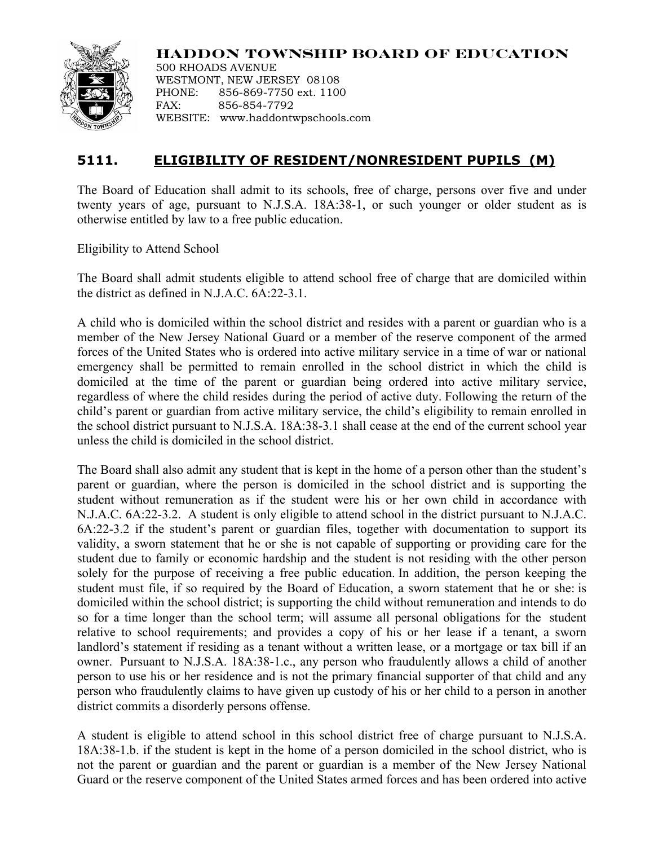

**HADDON TOWNSHIP BOARD OF EDUCATION**

500 RHOADS AVENUE WESTMONT, NEW JERSEY 08108 PHONE: 856-869-7750 ext. 1100 FAX: 856-854-7792 WEBSITE: www.haddontwpschools.com

# **5111. ELIGIBILITY OF RESIDENT/NONRESIDENT PUPILS (M)**

The Board of Education shall admit to its schools, free of charge, persons over five and under twenty years of age, pursuant to N.J.S.A. 18A:38-1, or such younger or older student as is otherwise entitled by law to a free public education.

Eligibility to Attend School

The Board shall admit students eligible to attend school free of charge that are domiciled within the district as defined in N.J.A.C. 6A:22-3.1.

A child who is domiciled within the school district and resides with a parent or guardian who is a member of the New Jersey National Guard or a member of the reserve component of the armed forces of the United States who is ordered into active military service in a time of war or national emergency shall be permitted to remain enrolled in the school district in which the child is domiciled at the time of the parent or guardian being ordered into active military service, regardless of where the child resides during the period of active duty. Following the return of the child's parent or guardian from active military service, the child's eligibility to remain enrolled in the school district pursuant to N.J.S.A. 18A:38-3.1 shall cease at the end of the current school year unless the child is domiciled in the school district.

The Board shall also admit any student that is kept in the home of a person other than the student's parent or guardian, where the person is domiciled in the school district and is supporting the student without remuneration as if the student were his or her own child in accordance with N.J.A.C. 6A:22-3.2. A student is only eligible to attend school in the district pursuant to N.J.A.C. 6A:22-3.2 if the student's parent or guardian files, together with documentation to support its validity, a sworn statement that he or she is not capable of supporting or providing care for the student due to family or economic hardship and the student is not residing with the other person solely for the purpose of receiving a free public education. In addition, the person keeping the student must file, if so required by the Board of Education, a sworn statement that he or she: is domiciled within the school district; is supporting the child without remuneration and intends to do so for a time longer than the school term; will assume all personal obligations for the student relative to school requirements; and provides a copy of his or her lease if a tenant, a sworn landlord's statement if residing as a tenant without a written lease, or a mortgage or tax bill if an owner. Pursuant to N.J.S.A. 18A:38-1.c., any person who fraudulently allows a child of another person to use his or her residence and is not the primary financial supporter of that child and any person who fraudulently claims to have given up custody of his or her child to a person in another district commits a disorderly persons offense.

A student is eligible to attend school in this school district free of charge pursuant to N.J.S.A. 18A:38-1.b. if the student is kept in the home of a person domiciled in the school district, who is not the parent or guardian and the parent or guardian is a member of the New Jersey National Guard or the reserve component of the United States armed forces and has been ordered into active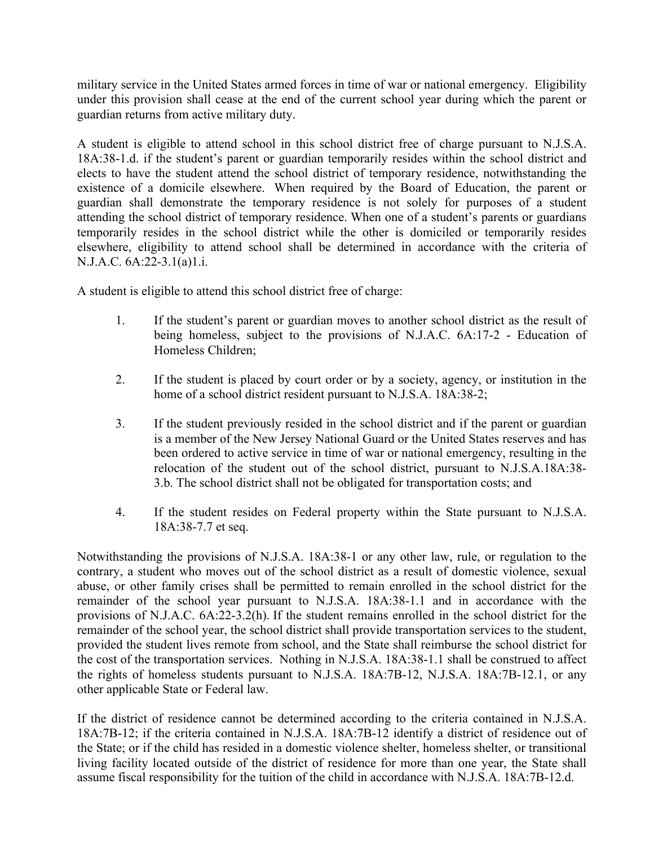military service in the United States armed forces in time of war or national emergency. Eligibility under this provision shall cease at the end of the current school year during which the parent or guardian returns from active military duty.

A student is eligible to attend school in this school district free of charge pursuant to N.J.S.A. 18A:38-1.d. if the student's parent or guardian temporarily resides within the school district and elects to have the student attend the school district of temporary residence, notwithstanding the existence of a domicile elsewhere. When required by the Board of Education, the parent or guardian shall demonstrate the temporary residence is not solely for purposes of a student attending the school district of temporary residence. When one of a student's parents or guardians temporarily resides in the school district while the other is domiciled or temporarily resides elsewhere, eligibility to attend school shall be determined in accordance with the criteria of N.J.A.C. 6A:22-3.1(a)1.i.

A student is eligible to attend this school district free of charge:

- 1. If the student's parent or guardian moves to another school district as the result of being homeless, subject to the provisions of N.J.A.C. 6A:17-2 - Education of Homeless Children;
- 2. If the student is placed by court order or by a society, agency, or institution in the home of a school district resident pursuant to N.J.S.A. 18A:38-2;
- 3. If the student previously resided in the school district and if the parent or guardian is a member of the New Jersey National Guard or the United States reserves and has been ordered to active service in time of war or national emergency, resulting in the relocation of the student out of the school district, pursuant to N.J.S.A.18A:38- 3.b. The school district shall not be obligated for transportation costs; and
- 4. If the student resides on Federal property within the State pursuant to N.J.S.A. 18A:38-7.7 et seq.

Notwithstanding the provisions of N.J.S.A. 18A:38-1 or any other law, rule, or regulation to the contrary, a student who moves out of the school district as a result of domestic violence, sexual abuse, or other family crises shall be permitted to remain enrolled in the school district for the remainder of the school year pursuant to N.J.S.A. 18A:38-1.1 and in accordance with the provisions of N.J.A.C. 6A:22-3.2(h). If the student remains enrolled in the school district for the remainder of the school year, the school district shall provide transportation services to the student, provided the student lives remote from school, and the State shall reimburse the school district for the cost of the transportation services. Nothing in N.J.S.A. 18A:38-1.1 shall be construed to affect the rights of homeless students pursuant to N.J.S.A. 18A:7B-12, N.J.S.A. 18A:7B-12.1, or any other applicable State or Federal law.

If the district of residence cannot be determined according to the criteria contained in N.J.S.A. 18A:7B-12; if the criteria contained in N.J.S.A. 18A:7B-12 identify a district of residence out of the State; or if the child has resided in a domestic violence shelter, homeless shelter, or transitional living facility located outside of the district of residence for more than one year, the State shall assume fiscal responsibility for the tuition of the child in accordance with N.J.S.A. 18A:7B-12.d.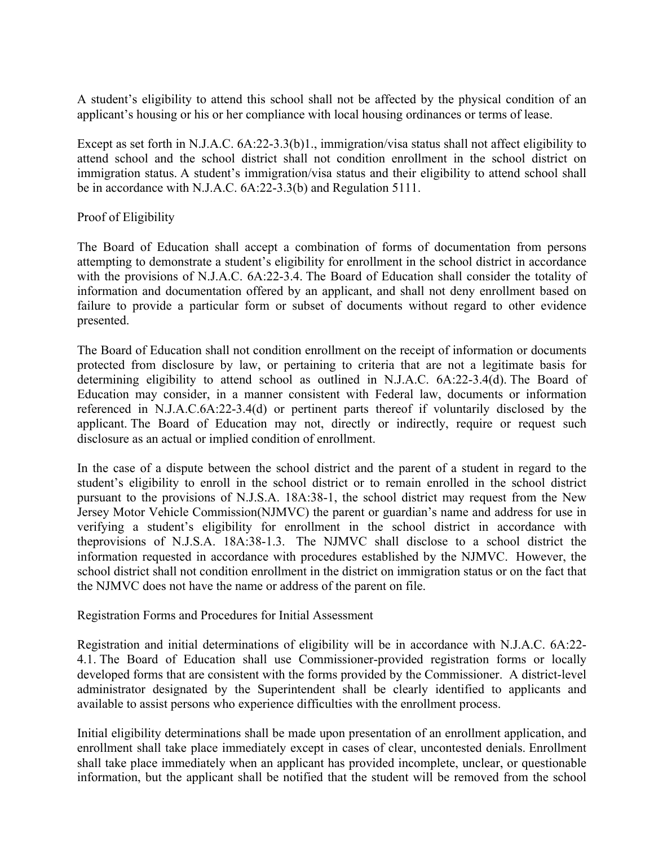A student's eligibility to attend this school shall not be affected by the physical condition of an applicant's housing or his or her compliance with local housing ordinances or terms of lease.

Except as set forth in N.J.A.C. 6A:22-3.3(b)1., immigration/visa status shall not affect eligibility to attend school and the school district shall not condition enrollment in the school district on immigration status. A student's immigration/visa status and their eligibility to attend school shall be in accordance with N.J.A.C. 6A:22-3.3(b) and Regulation 5111.

## Proof of Eligibility

The Board of Education shall accept a combination of forms of documentation from persons attempting to demonstrate a student's eligibility for enrollment in the school district in accordance with the provisions of N.J.A.C. 6A:22-3.4. The Board of Education shall consider the totality of information and documentation offered by an applicant, and shall not deny enrollment based on failure to provide a particular form or subset of documents without regard to other evidence presented.

The Board of Education shall not condition enrollment on the receipt of information or documents protected from disclosure by law, or pertaining to criteria that are not a legitimate basis for determining eligibility to attend school as outlined in N.J.A.C. 6A:22-3.4(d). The Board of Education may consider, in a manner consistent with Federal law, documents or information referenced in N.J.A.C.6A:22-3.4(d) or pertinent parts thereof if voluntarily disclosed by the applicant. The Board of Education may not, directly or indirectly, require or request such disclosure as an actual or implied condition of enrollment.

In the case of a dispute between the school district and the parent of a student in regard to the student's eligibility to enroll in the school district or to remain enrolled in the school district pursuant to the provisions of N.J.S.A. 18A:38-1, the school district may request from the New Jersey Motor Vehicle Commission(NJMVC) the parent or guardian's name and address for use in verifying a student's eligibility for enrollment in the school district in accordance with theprovisions of N.J.S.A. 18A:38-1.3. The NJMVC shall disclose to a school district the information requested in accordance with procedures established by the NJMVC. However, the school district shall not condition enrollment in the district on immigration status or on the fact that the NJMVC does not have the name or address of the parent on file.

Registration Forms and Procedures for Initial Assessment

Registration and initial determinations of eligibility will be in accordance with N.J.A.C. 6A:22- 4.1. The Board of Education shall use Commissioner-provided registration forms or locally developed forms that are consistent with the forms provided by the Commissioner. A district-level administrator designated by the Superintendent shall be clearly identified to applicants and available to assist persons who experience difficulties with the enrollment process.

Initial eligibility determinations shall be made upon presentation of an enrollment application, and enrollment shall take place immediately except in cases of clear, uncontested denials. Enrollment shall take place immediately when an applicant has provided incomplete, unclear, or questionable information, but the applicant shall be notified that the student will be removed from the school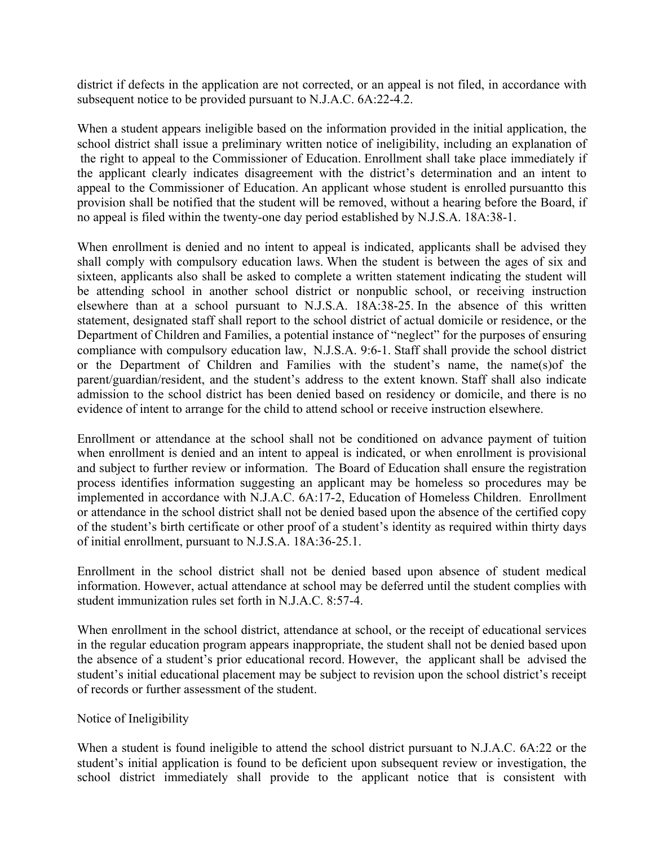district if defects in the application are not corrected, or an appeal is not filed, in accordance with subsequent notice to be provided pursuant to N.J.A.C. 6A:22-4.2.

When a student appears ineligible based on the information provided in the initial application, the school district shall issue a preliminary written notice of ineligibility, including an explanation of the right to appeal to the Commissioner of Education. Enrollment shall take place immediately if the applicant clearly indicates disagreement with the district's determination and an intent to appeal to the Commissioner of Education. An applicant whose student is enrolled pursuantto this provision shall be notified that the student will be removed, without a hearing before the Board, if no appeal is filed within the twenty-one day period established by N.J.S.A. 18A:38-1.

When enrollment is denied and no intent to appeal is indicated, applicants shall be advised they shall comply with compulsory education laws. When the student is between the ages of six and sixteen, applicants also shall be asked to complete a written statement indicating the student will be attending school in another school district or nonpublic school, or receiving instruction elsewhere than at a school pursuant to N.J.S.A. 18A:38-25. In the absence of this written statement, designated staff shall report to the school district of actual domicile or residence, or the Department of Children and Families, a potential instance of "neglect" for the purposes of ensuring compliance with compulsory education law, N.J.S.A. 9:6-1. Staff shall provide the school district or the Department of Children and Families with the student's name, the name(s)of the parent/guardian/resident, and the student's address to the extent known. Staff shall also indicate admission to the school district has been denied based on residency or domicile, and there is no evidence of intent to arrange for the child to attend school or receive instruction elsewhere.

Enrollment or attendance at the school shall not be conditioned on advance payment of tuition when enrollment is denied and an intent to appeal is indicated, or when enrollment is provisional and subject to further review or information. The Board of Education shall ensure the registration process identifies information suggesting an applicant may be homeless so procedures may be implemented in accordance with N.J.A.C. 6A:17-2, Education of Homeless Children. Enrollment or attendance in the school district shall not be denied based upon the absence of the certified copy of the student's birth certificate or other proof of a student's identity as required within thirty days of initial enrollment, pursuant to N.J.S.A. 18A:36-25.1.

Enrollment in the school district shall not be denied based upon absence of student medical information. However, actual attendance at school may be deferred until the student complies with student immunization rules set forth in N.J.A.C. 8:57-4.

When enrollment in the school district, attendance at school, or the receipt of educational services in the regular education program appears inappropriate, the student shall not be denied based upon the absence of a student's prior educational record. However, the applicant shall be advised the student's initial educational placement may be subject to revision upon the school district's receipt of records or further assessment of the student.

### Notice of Ineligibility

When a student is found ineligible to attend the school district pursuant to N.J.A.C. 6A:22 or the student's initial application is found to be deficient upon subsequent review or investigation, the school district immediately shall provide to the applicant notice that is consistent with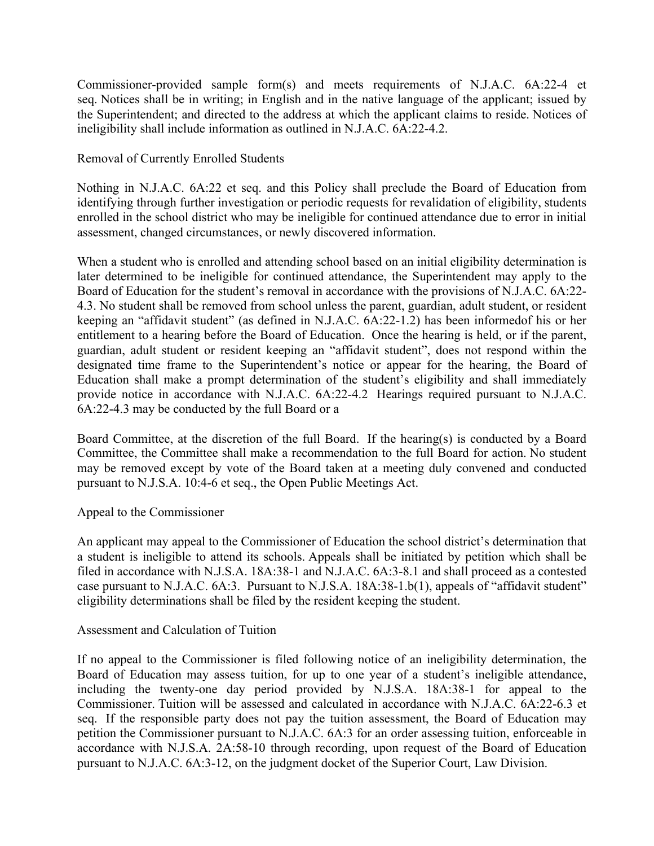Commissioner-provided sample form(s) and meets requirements of N.J.A.C. 6A:22-4 et seq. Notices shall be in writing; in English and in the native language of the applicant; issued by the Superintendent; and directed to the address at which the applicant claims to reside. Notices of ineligibility shall include information as outlined in N.J.A.C. 6A:22-4.2.

Removal of Currently Enrolled Students

Nothing in N.J.A.C. 6A:22 et seq. and this Policy shall preclude the Board of Education from identifying through further investigation or periodic requests for revalidation of eligibility, students enrolled in the school district who may be ineligible for continued attendance due to error in initial assessment, changed circumstances, or newly discovered information.

When a student who is enrolled and attending school based on an initial eligibility determination is later determined to be ineligible for continued attendance, the Superintendent may apply to the Board of Education for the student's removal in accordance with the provisions of N.J.A.C. 6A:22- 4.3. No student shall be removed from school unless the parent, guardian, adult student, or resident keeping an "affidavit student" (as defined in N.J.A.C. 6A:22-1.2) has been informedof his or her entitlement to a hearing before the Board of Education. Once the hearing is held, or if the parent, guardian, adult student or resident keeping an "affidavit student", does not respond within the designated time frame to the Superintendent's notice or appear for the hearing, the Board of Education shall make a prompt determination of the student's eligibility and shall immediately provide notice in accordance with N.J.A.C. 6A:22-4.2 Hearings required pursuant to N.J.A.C. 6A:22-4.3 may be conducted by the full Board or a

Board Committee, at the discretion of the full Board. If the hearing(s) is conducted by a Board Committee, the Committee shall make a recommendation to the full Board for action. No student may be removed except by vote of the Board taken at a meeting duly convened and conducted pursuant to N.J.S.A. 10:4-6 et seq., the Open Public Meetings Act.

### Appeal to the Commissioner

An applicant may appeal to the Commissioner of Education the school district's determination that a student is ineligible to attend its schools. Appeals shall be initiated by petition which shall be filed in accordance with N.J.S.A. 18A:38-1 and N.J.A.C. 6A:3-8.1 and shall proceed as a contested case pursuant to N.J.A.C. 6A:3. Pursuant to N.J.S.A. 18A:38-1.b(1), appeals of "affidavit student" eligibility determinations shall be filed by the resident keeping the student.

### Assessment and Calculation of Tuition

If no appeal to the Commissioner is filed following notice of an ineligibility determination, the Board of Education may assess tuition, for up to one year of a student's ineligible attendance, including the twenty-one day period provided by N.J.S.A. 18A:38-1 for appeal to the Commissioner. Tuition will be assessed and calculated in accordance with N.J.A.C. 6A:22-6.3 et seq. If the responsible party does not pay the tuition assessment, the Board of Education may petition the Commissioner pursuant to N.J.A.C. 6A:3 for an order assessing tuition, enforceable in accordance with N.J.S.A. 2A:58-10 through recording, upon request of the Board of Education pursuant to N.J.A.C. 6A:3-12, on the judgment docket of the Superior Court, Law Division.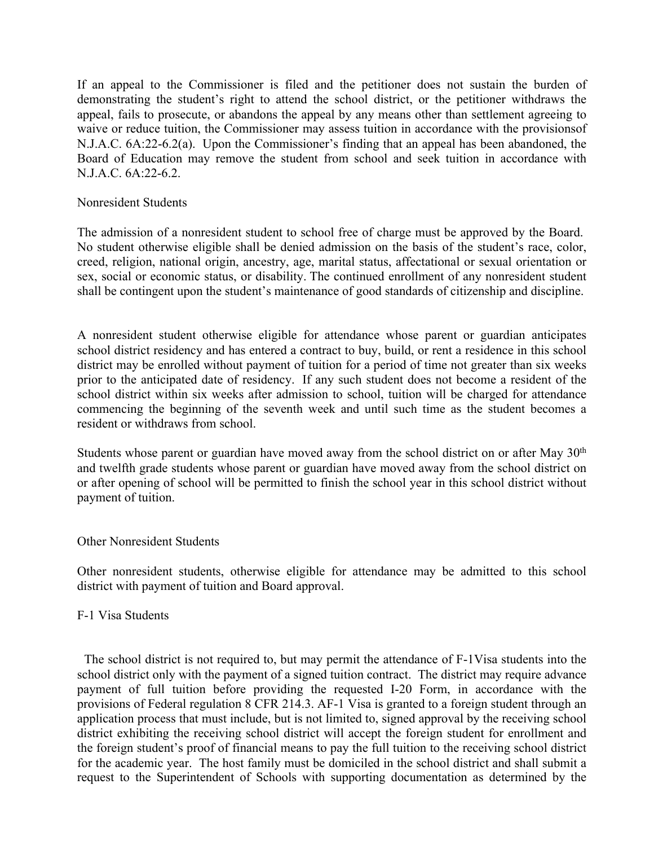If an appeal to the Commissioner is filed and the petitioner does not sustain the burden of demonstrating the student's right to attend the school district, or the petitioner withdraws the appeal, fails to prosecute, or abandons the appeal by any means other than settlement agreeing to waive or reduce tuition, the Commissioner may assess tuition in accordance with the provisionsof N.J.A.C. 6A:22-6.2(a). Upon the Commissioner's finding that an appeal has been abandoned, the Board of Education may remove the student from school and seek tuition in accordance with N.J.A.C. 6A:22-6.2.

#### Nonresident Students

The admission of a nonresident student to school free of charge must be approved by the Board. No student otherwise eligible shall be denied admission on the basis of the student's race, color, creed, religion, national origin, ancestry, age, marital status, affectational or sexual orientation or sex, social or economic status, or disability. The continued enrollment of any nonresident student shall be contingent upon the student's maintenance of good standards of citizenship and discipline.

A nonresident student otherwise eligible for attendance whose parent or guardian anticipates school district residency and has entered a contract to buy, build, or rent a residence in this school district may be enrolled without payment of tuition for a period of time not greater than six weeks prior to the anticipated date of residency. If any such student does not become a resident of the school district within six weeks after admission to school, tuition will be charged for attendance commencing the beginning of the seventh week and until such time as the student becomes a resident or withdraws from school.

Students whose parent or guardian have moved away from the school district on or after May  $30<sup>th</sup>$ and twelfth grade students whose parent or guardian have moved away from the school district on or after opening of school will be permitted to finish the school year in this school district without payment of tuition.

### Other Nonresident Students

Other nonresident students, otherwise eligible for attendance may be admitted to this school district with payment of tuition and Board approval.

### F-1 Visa Students

The school district is not required to, but may permit the attendance of F-1Visa students into the school district only with the payment of a signed tuition contract. The district may require advance payment of full tuition before providing the requested I-20 Form, in accordance with the provisions of Federal regulation 8 CFR 214.3. AF-1 Visa is granted to a foreign student through an application process that must include, but is not limited to, signed approval by the receiving school district exhibiting the receiving school district will accept the foreign student for enrollment and the foreign student's proof of financial means to pay the full tuition to the receiving school district for the academic year. The host family must be domiciled in the school district and shall submit a request to the Superintendent of Schools with supporting documentation as determined by the